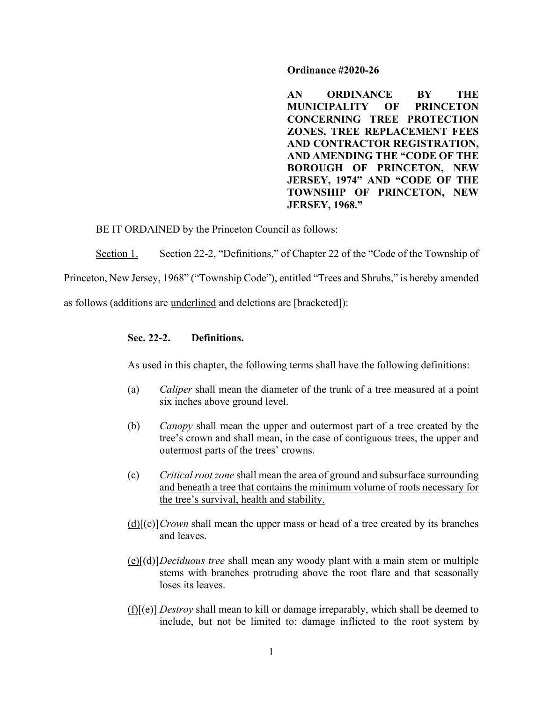#### **Ordinance #2020-26**

**AN ORDINANCE BY THE MUNICIPALITY OF PRINCETON CONCERNING TREE PROTECTION ZONES, TREE REPLACEMENT FEES AND CONTRACTOR REGISTRATION, AND AMENDING THE "CODE OF THE BOROUGH OF PRINCETON, NEW JERSEY, 1974" AND "CODE OF THE TOWNSHIP OF PRINCETON, NEW JERSEY, 1968."**

BE IT ORDAINED by the Princeton Council as follows:

Section 1. Section 22-2, "Definitions," of Chapter 22 of the "Code of the Township of

Princeton, New Jersey, 1968" ("Township Code"), entitled "Trees and Shrubs," is hereby amended

as follows (additions are underlined and deletions are [bracketed]):

## **Sec. 22-2. Definitions.**

As used in this chapter, the following terms shall have the following definitions:

- (a) *Caliper* shall mean the diameter of the trunk of a tree measured at a point six inches above ground level.
- (b) *Canopy* shall mean the upper and outermost part of a tree created by the tree's crown and shall mean, in the case of contiguous trees, the upper and outermost parts of the trees' crowns.
- (c) *Critical root zone* shall mean the area of ground and subsurface surrounding and beneath a tree that contains the minimum volume of roots necessary for the tree's survival, health and stability.
- (d)[(c)]*Crown* shall mean the upper mass or head of a tree created by its branches and leaves.
- (e)[(d)]*Deciduous tree* shall mean any woody plant with a main stem or multiple stems with branches protruding above the root flare and that seasonally loses its leaves.
- (f)[(e)] *Destroy* shall mean to kill or damage irreparably, which shall be deemed to include, but not be limited to: damage inflicted to the root system by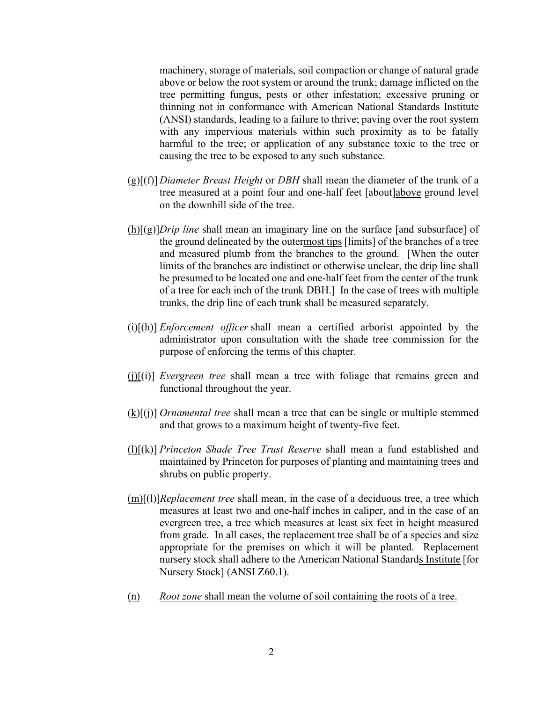machinery, storage of materials, soil compaction or change of natural grade above or below the root system or around the trunk; damage inflicted on the tree permitting fungus, pests or other infestation; excessive pruning or thinning not in conformance with American National Standards Institute (ANSI) standards, leading to a failure to thrive; paving over the root system with any impervious materials within such proximity as to be fatally harmful to the tree; or application of any substance toxic to the tree or causing the tree to be exposed to any such substance.

- (g)[(f)] *Diameter Breast Height* or *DBH* shall mean the diameter of the trunk of a tree measured at a point four and one-half feet [about]above ground level on the downhill side of the tree.
- (h)[(g)]*Drip line* shall mean an imaginary line on the surface [and subsurface] of the ground delineated by the outermost tips [limits] of the branches of a tree and measured plumb from the branches to the ground. [When the outer limits of the branches are indistinct or otherwise unclear, the drip line shall be presumed to be located one and one-half feet from the center of the trunk of a tree for each inch of the trunk DBH.] In the case of trees with multiple trunks, the drip line of each trunk shall be measured separately.
- (i)[(h)] *Enforcement officer* shall mean a certified arborist appointed by the administrator upon consultation with the shade tree commission for the purpose of enforcing the terms of this chapter.
- (j)[(i)] *Evergreen tree* shall mean a tree with foliage that remains green and functional throughout the year.
- (k)[(j)] *Ornamental tree* shall mean a tree that can be single or multiple stemmed and that grows to a maximum height of twenty-five feet.
- (l)[(k)] *Princeton Shade Tree Trust Reserve* shall mean a fund established and maintained by Princeton for purposes of planting and maintaining trees and shrubs on public property.
- (m)[(l)]*Replacement tree* shall mean, in the case of a deciduous tree, a tree which measures at least two and one-half inches in caliper, and in the case of an evergreen tree, a tree which measures at least six feet in height measured from grade. In all cases, the replacement tree shall be of a species and size appropriate for the premises on which it will be planted. Replacement nursery stock shall adhere to the American National Standards Institute [for Nursery Stock] (ANSI Z60.1).
- (n) *Root zone* shall mean the volume of soil containing the roots of a tree.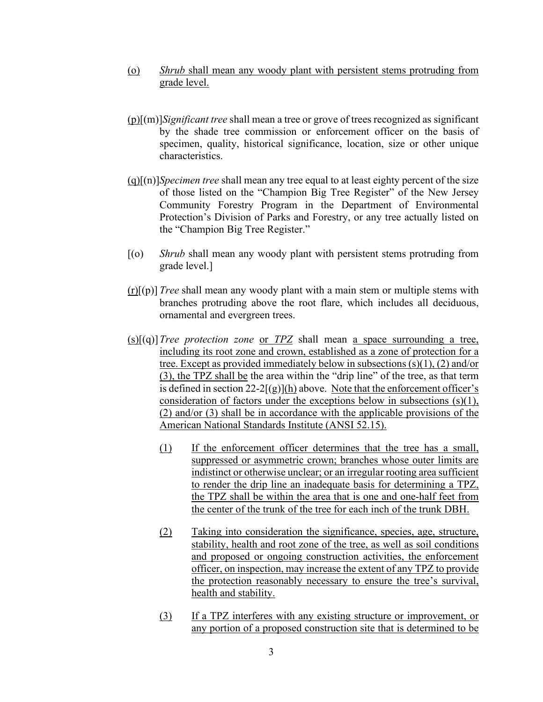- (o) *Shrub* shall mean any woody plant with persistent stems protruding from grade level.
- (p)[(m)]*Significant tree* shall mean a tree or grove of trees recognized as significant by the shade tree commission or enforcement officer on the basis of specimen, quality, historical significance, location, size or other unique characteristics.
- (q)[(n)]*Specimen tree* shall mean any tree equal to at least eighty percent of the size of those listed on the "Champion Big Tree Register" of the New Jersey Community Forestry Program in the Department of Environmental Protection's Division of Parks and Forestry, or any tree actually listed on the "Champion Big Tree Register."
- [(o) *Shrub* shall mean any woody plant with persistent stems protruding from grade level.]
- (r)[(p)] *Tree* shall mean any woody plant with a main stem or multiple stems with branches protruding above the root flare, which includes all deciduous, ornamental and evergreen trees.
- (s)[(q)]*Tree protection zone* or *TPZ* shall mean a space surrounding a tree, including its root zone and crown, established as a zone of protection for a tree. Except as provided immediately below in subsections (s)(1), (2) and/or (3), the TPZ shall be the area within the "drip line" of the tree, as that term is defined in section  $22-2[(g)](h)$  above. Note that the enforcement officer's consideration of factors under the exceptions below in subsections (s)(1), (2) and/or (3) shall be in accordance with the applicable provisions of the American National Standards Institute (ANSI 52.15).
	- (1) If the enforcement officer determines that the tree has a small, suppressed or asymmetric crown; branches whose outer limits are indistinct or otherwise unclear; or an irregular rooting area sufficient to render the drip line an inadequate basis for determining a TPZ, the TPZ shall be within the area that is one and one-half feet from the center of the trunk of the tree for each inch of the trunk DBH.
	- (2) Taking into consideration the significance, species, age, structure, stability, health and root zone of the tree, as well as soil conditions and proposed or ongoing construction activities, the enforcement officer, on inspection, may increase the extent of any TPZ to provide the protection reasonably necessary to ensure the tree's survival, health and stability.
	- (3) If a TPZ interferes with any existing structure or improvement, or any portion of a proposed construction site that is determined to be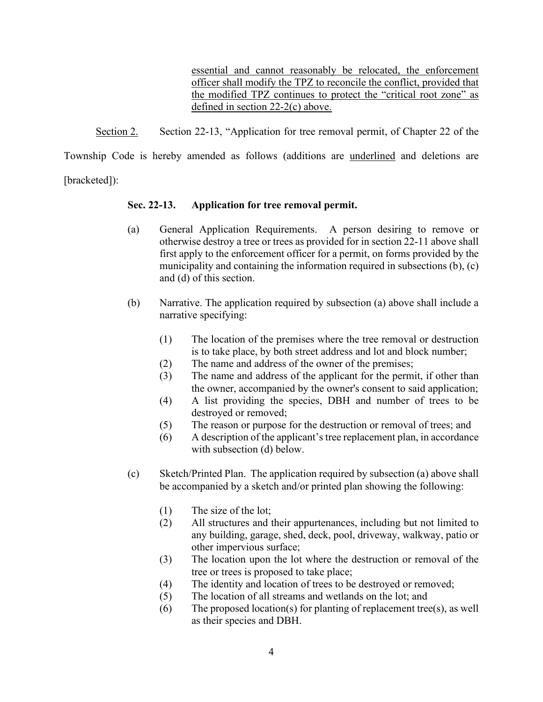essential and cannot reasonably be relocated, the enforcement officer shall modify the TPZ to reconcile the conflict, provided that the modified TPZ continues to protect the "critical root zone" as defined in section 22-2(c) above.

Section 2. Section 22-13, "Application for tree removal permit, of Chapter 22 of the

Township Code is hereby amended as follows (additions are underlined and deletions are

[bracketed]):

# **Sec. 22-13. Application for tree removal permit.**

- (a) General Application Requirements. A person desiring to remove or otherwise destroy a tree or trees as provided for in section 22-11 above shall first apply to the enforcement officer for a permit, on forms provided by the municipality and containing the information required in subsections (b), (c) and (d) of this section.
- (b) Narrative. The application required by subsection (a) above shall include a narrative specifying:
	- (1) The location of the premises where the tree removal or destruction is to take place, by both street address and lot and block number;
	- (2) The name and address of the owner of the premises;
	- (3) The name and address of the applicant for the permit, if other than the owner, accompanied by the owner's consent to said application;
	- (4) A list providing the species, DBH and number of trees to be destroyed or removed;
	- (5) The reason or purpose for the destruction or removal of trees; and
	- (6) A description of the applicant's tree replacement plan, in accordance with subsection (d) below.
- (c) Sketch/Printed Plan. The application required by subsection (a) above shall be accompanied by a sketch and/or printed plan showing the following:
	- (1) The size of the lot;
	- (2) All structures and their appurtenances, including but not limited to any building, garage, shed, deck, pool, driveway, walkway, patio or other impervious surface;
	- (3) The location upon the lot where the destruction or removal of the tree or trees is proposed to take place;
	- (4) The identity and location of trees to be destroyed or removed;
	- (5) The location of all streams and wetlands on the lot; and
	- (6) The proposed location(s) for planting of replacement tree(s), as well as their species and DBH.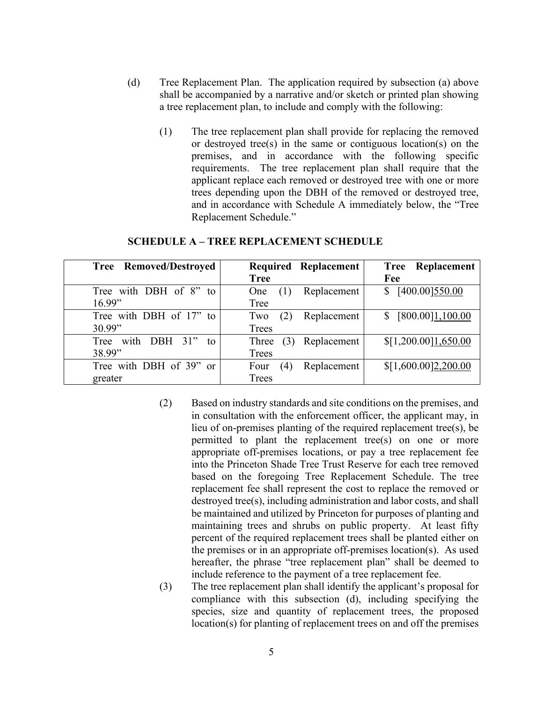- (d) Tree Replacement Plan. The application required by subsection (a) above shall be accompanied by a narrative and/or sketch or printed plan showing a tree replacement plan, to include and comply with the following:
	- (1) The tree replacement plan shall provide for replacing the removed or destroyed tree(s) in the same or contiguous location(s) on the premises, and in accordance with the following specific requirements. The tree replacement plan shall require that the applicant replace each removed or destroyed tree with one or more trees depending upon the DBH of the removed or destroyed tree, and in accordance with Schedule A immediately below, the "Tree Replacement Schedule."

| Tree Removed/Destroyed     | Required Replacement                    | <b>Tree Replacement</b> |
|----------------------------|-----------------------------------------|-------------------------|
|                            | <b>Tree</b>                             | Fee                     |
| Tree with DBH of 8" to     | Replacement<br>One                      | \$ [400.00] 550.00      |
| 16.99"                     | Tree                                    |                         |
| Tree with DBH of 17" to    | Replacement<br>(2)<br>Two               | [800.00]1,100.00<br>S.  |
| 30.99"                     | Trees                                   |                         |
| with DBH 31"<br>Tree<br>to | Replacement<br>(3)<br>Three             | \$[1,200.00]1,650.00    |
| 38.99"                     | Trees                                   |                         |
| Tree with DBH of 39" or    | Replacement<br>Four<br>$\left(4\right)$ | \$[1,600.00]2,200.00    |
| greater                    | Trees                                   |                         |

#### **SCHEDULE A – TREE REPLACEMENT SCHEDULE**

- (2) Based on industry standards and site conditions on the premises, and in consultation with the enforcement officer, the applicant may, in lieu of on-premises planting of the required replacement tree(s), be permitted to plant the replacement tree(s) on one or more appropriate off-premises locations, or pay a tree replacement fee into the Princeton Shade Tree Trust Reserve for each tree removed based on the foregoing Tree Replacement Schedule. The tree replacement fee shall represent the cost to replace the removed or destroyed tree(s), including administration and labor costs, and shall be maintained and utilized by Princeton for purposes of planting and maintaining trees and shrubs on public property. At least fifty percent of the required replacement trees shall be planted either on the premises or in an appropriate off-premises location(s). As used hereafter, the phrase "tree replacement plan" shall be deemed to include reference to the payment of a tree replacement fee.
- (3) The tree replacement plan shall identify the applicant's proposal for compliance with this subsection (d), including specifying the species, size and quantity of replacement trees, the proposed location(s) for planting of replacement trees on and off the premises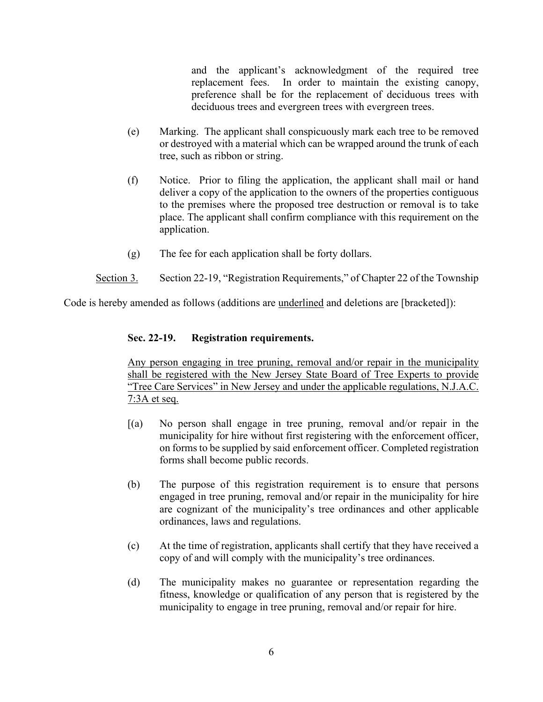and the applicant's acknowledgment of the required tree replacement fees. In order to maintain the existing canopy, preference shall be for the replacement of deciduous trees with deciduous trees and evergreen trees with evergreen trees.

- (e) Marking. The applicant shall conspicuously mark each tree to be removed or destroyed with a material which can be wrapped around the trunk of each tree, such as ribbon or string.
- (f) Notice. Prior to filing the application, the applicant shall mail or hand deliver a copy of the application to the owners of the properties contiguous to the premises where the proposed tree destruction or removal is to take place. The applicant shall confirm compliance with this requirement on the application.
- (g) The fee for each application shall be forty dollars.
- Section 3. Section 22-19, "Registration Requirements," of Chapter 22 of the Township

Code is hereby amended as follows (additions are underlined and deletions are [bracketed]):

# **Sec. 22-19. Registration requirements.**

Any person engaging in tree pruning, removal and/or repair in the municipality shall be registered with the New Jersey State Board of Tree Experts to provide "Tree Care Services" in New Jersey and under the applicable regulations, N.J.A.C. 7:3A et seq.

- [(a) No person shall engage in tree pruning, removal and/or repair in the municipality for hire without first registering with the enforcement officer, on forms to be supplied by said enforcement officer. Completed registration forms shall become public records.
- (b) The purpose of this registration requirement is to ensure that persons engaged in tree pruning, removal and/or repair in the municipality for hire are cognizant of the municipality's tree ordinances and other applicable ordinances, laws and regulations.
- (c) At the time of registration, applicants shall certify that they have received a copy of and will comply with the municipality's tree ordinances.
- (d) The municipality makes no guarantee or representation regarding the fitness, knowledge or qualification of any person that is registered by the municipality to engage in tree pruning, removal and/or repair for hire.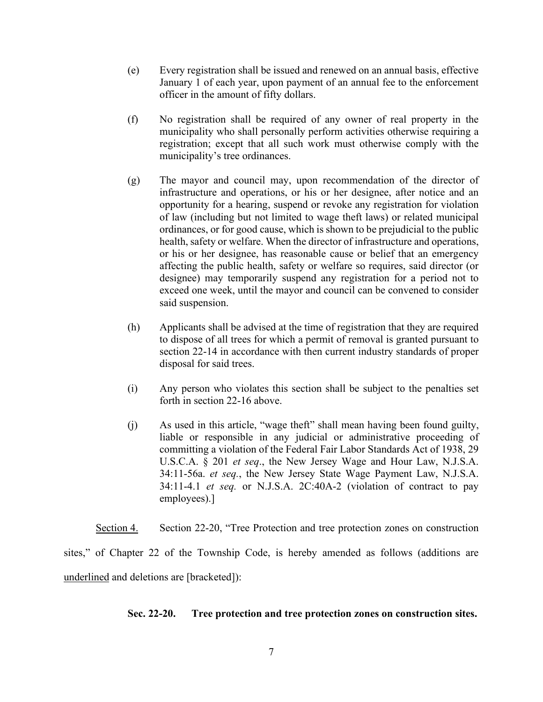- (e) Every registration shall be issued and renewed on an annual basis, effective January 1 of each year, upon payment of an annual fee to the enforcement officer in the amount of fifty dollars.
- (f) No registration shall be required of any owner of real property in the municipality who shall personally perform activities otherwise requiring a registration; except that all such work must otherwise comply with the municipality's tree ordinances.
- (g) The mayor and council may, upon recommendation of the director of infrastructure and operations, or his or her designee, after notice and an opportunity for a hearing, suspend or revoke any registration for violation of law (including but not limited to wage theft laws) or related municipal ordinances, or for good cause, which is shown to be prejudicial to the public health, safety or welfare. When the director of infrastructure and operations, or his or her designee, has reasonable cause or belief that an emergency affecting the public health, safety or welfare so requires, said director (or designee) may temporarily suspend any registration for a period not to exceed one week, until the mayor and council can be convened to consider said suspension.
- (h) Applicants shall be advised at the time of registration that they are required to dispose of all trees for which a permit of removal is granted pursuant to section 22-14 in accordance with then current industry standards of proper disposal for said trees.
- (i) Any person who violates this section shall be subject to the penalties set forth in section 22-16 above.
- (j) As used in this article, "wage theft" shall mean having been found guilty, liable or responsible in any judicial or administrative proceeding of committing a violation of the Federal Fair Labor Standards Act of 1938, 29 U.S.C.A. § 201 *et seq*., the New Jersey Wage and Hour Law, N.J.S.A. 34:11-56a. *et seq.*, the New Jersey State Wage Payment Law, N.J.S.A. 34:11-4.1 *et seq.* or N.J.S.A. 2C:40A-2 (violation of contract to pay employees).]

Section 4. Section 22-20, "Tree Protection and tree protection zones on construction sites," of Chapter 22 of the Township Code, is hereby amended as follows (additions are underlined and deletions are [bracketed]):

## **Sec. 22-20. Tree protection and tree protection zones on construction sites.**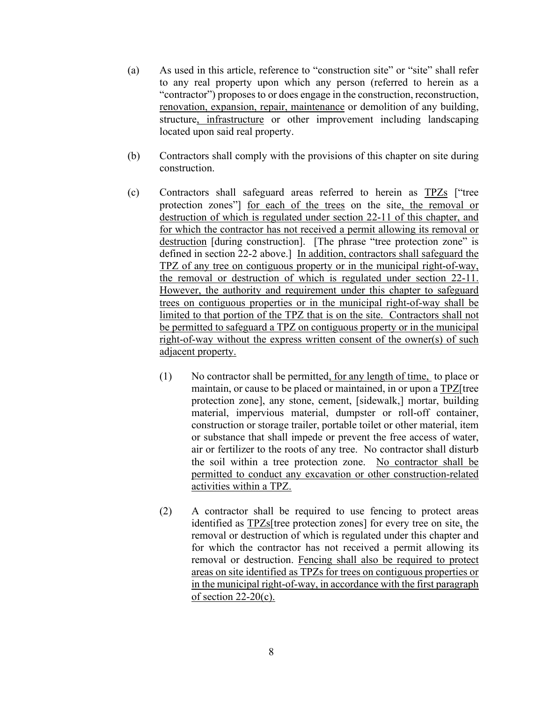- (a) As used in this article, reference to "construction site" or "site" shall refer to any real property upon which any person (referred to herein as a "contractor") proposes to or does engage in the construction, reconstruction, renovation, expansion, repair, maintenance or demolition of any building, structure, infrastructure or other improvement including landscaping located upon said real property.
- (b) Contractors shall comply with the provisions of this chapter on site during construction.
- (c) Contractors shall safeguard areas referred to herein as TPZs ["tree protection zones"] for each of the trees on the site, the removal or destruction of which is regulated under section 22-11 of this chapter, and for which the contractor has not received a permit allowing its removal or destruction [during construction]. [The phrase "tree protection zone" is defined in section 22-2 above.] In addition, contractors shall safeguard the TPZ of any tree on contiguous property or in the municipal right-of-way, the removal or destruction of which is regulated under section 22-11. However, the authority and requirement under this chapter to safeguard trees on contiguous properties or in the municipal right-of-way shall be limited to that portion of the TPZ that is on the site. Contractors shall not be permitted to safeguard a TPZ on contiguous property or in the municipal right-of-way without the express written consent of the owner(s) of such adjacent property.
	- (1) No contractor shall be permitted, for any length of time, to place or maintain, or cause to be placed or maintained, in or upon a TPZ[tree protection zone], any stone, cement, [sidewalk,] mortar, building material, impervious material, dumpster or roll-off container, construction or storage trailer, portable toilet or other material, item or substance that shall impede or prevent the free access of water, air or fertilizer to the roots of any tree. No contractor shall disturb the soil within a tree protection zone. No contractor shall be permitted to conduct any excavation or other construction-related activities within a TPZ.
	- (2) A contractor shall be required to use fencing to protect areas identified as TPZs[tree protection zones] for every tree on site, the removal or destruction of which is regulated under this chapter and for which the contractor has not received a permit allowing its removal or destruction. Fencing shall also be required to protect areas on site identified as TPZs for trees on contiguous properties or in the municipal right-of-way, in accordance with the first paragraph of section  $22-20(c)$ .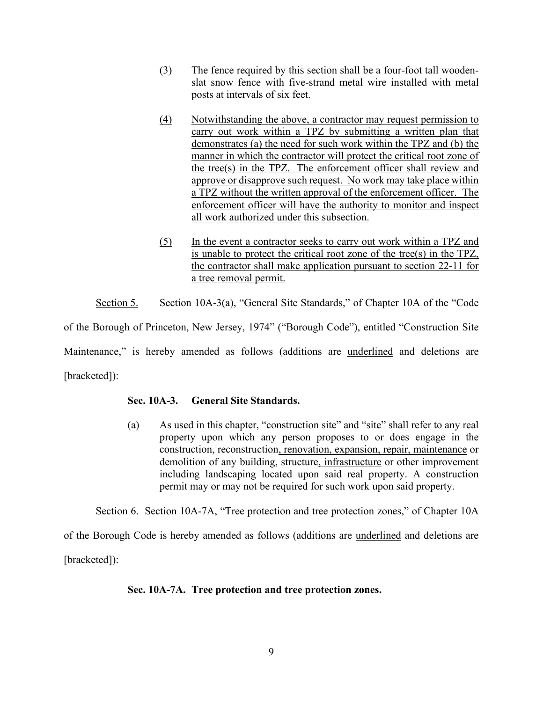- (3) The fence required by this section shall be a four-foot tall woodenslat snow fence with five-strand metal wire installed with metal posts at intervals of six feet.
- (4) Notwithstanding the above, a contractor may request permission to carry out work within a TPZ by submitting a written plan that demonstrates (a) the need for such work within the TPZ and (b) the manner in which the contractor will protect the critical root zone of the tree(s) in the TPZ. The enforcement officer shall review and approve or disapprove such request. No work may take place within a TPZ without the written approval of the enforcement officer. The enforcement officer will have the authority to monitor and inspect all work authorized under this subsection.
- (5) In the event a contractor seeks to carry out work within a TPZ and is unable to protect the critical root zone of the tree(s) in the TPZ, the contractor shall make application pursuant to section 22-11 for a tree removal permit.

Section 5. Section 10A-3(a), "General Site Standards," of Chapter 10A of the "Code" of the Borough of Princeton, New Jersey, 1974" ("Borough Code"), entitled "Construction Site Maintenance," is hereby amended as follows (additions are underlined and deletions are [bracketed]):

# **Sec. 10A-3. General Site Standards.**

(a) As used in this chapter, "construction site" and "site" shall refer to any real property upon which any person proposes to or does engage in the construction, reconstruction, renovation, expansion, repair, maintenance or demolition of any building, structure, infrastructure or other improvement including landscaping located upon said real property. A construction permit may or may not be required for such work upon said property.

Section 6. Section 10A-7A, "Tree protection and tree protection zones," of Chapter 10A

of the Borough Code is hereby amended as follows (additions are underlined and deletions are [bracketed]):

## **Sec. 10A-7A. Tree protection and tree protection zones.**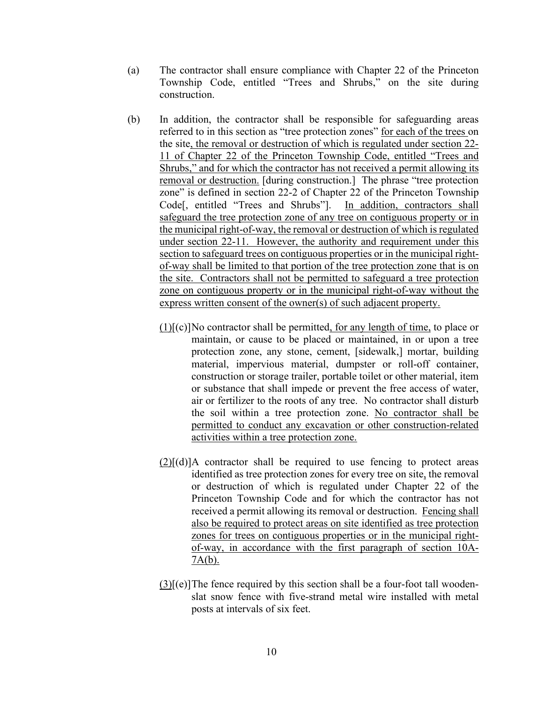- (a) The contractor shall ensure compliance with Chapter 22 of the Princeton Township Code, entitled "Trees and Shrubs," on the site during construction.
- (b) In addition, the contractor shall be responsible for safeguarding areas referred to in this section as "tree protection zones" for each of the trees on the site, the removal or destruction of which is regulated under section 22- 11 of Chapter 22 of the Princeton Township Code, entitled "Trees and Shrubs," and for which the contractor has not received a permit allowing its removal or destruction. [during construction.] The phrase "tree protection zone" is defined in section 22-2 of Chapter 22 of the Princeton Township Code[, entitled "Trees and Shrubs"]. In addition, contractors shall safeguard the tree protection zone of any tree on contiguous property or in the municipal right-of-way, the removal or destruction of which is regulated under section 22-11. However, the authority and requirement under this section to safeguard trees on contiguous properties or in the municipal rightof-way shall be limited to that portion of the tree protection zone that is on the site. Contractors shall not be permitted to safeguard a tree protection zone on contiguous property or in the municipal right-of-way without the express written consent of the owner(s) of such adjacent property.
	- (1)[(c)]No contractor shall be permitted, for any length of time, to place or maintain, or cause to be placed or maintained, in or upon a tree protection zone, any stone, cement, [sidewalk,] mortar, building material, impervious material, dumpster or roll-off container, construction or storage trailer, portable toilet or other material, item or substance that shall impede or prevent the free access of water, air or fertilizer to the roots of any tree. No contractor shall disturb the soil within a tree protection zone. No contractor shall be permitted to conduct any excavation or other construction-related activities within a tree protection zone.
	- $(2)$ [(d)]A contractor shall be required to use fencing to protect areas identified as tree protection zones for every tree on site, the removal or destruction of which is regulated under Chapter 22 of the Princeton Township Code and for which the contractor has not received a permit allowing its removal or destruction. Fencing shall also be required to protect areas on site identified as tree protection zones for trees on contiguous properties or in the municipal rightof-way, in accordance with the first paragraph of section 10A-7A(b).
	- $(3)[(e)]$ The fence required by this section shall be a four-foot tall woodenslat snow fence with five-strand metal wire installed with metal posts at intervals of six feet.